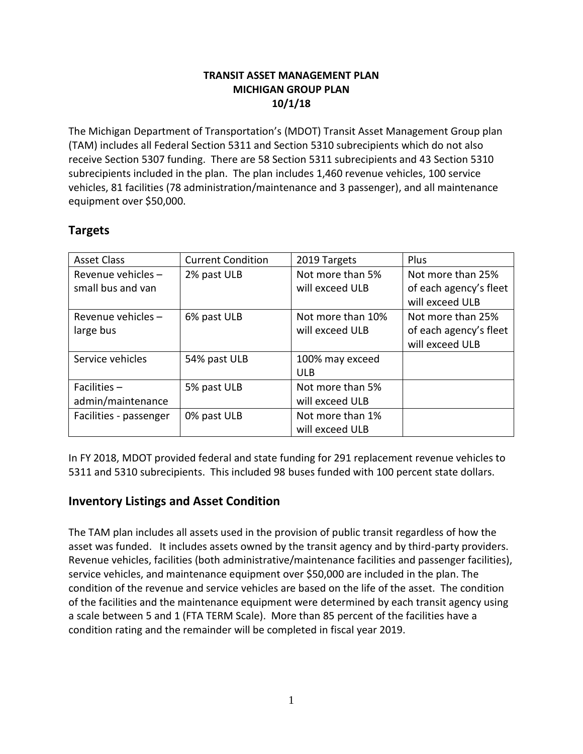### **TRANSIT ASSET MANAGEMENT PLAN MICHIGAN GROUP PLAN 10/1/18**

The Michigan Department of Transportation's (MDOT) Transit Asset Management Group plan (TAM) includes all Federal Section 5311 and Section 5310 subrecipients which do not also receive Section 5307 funding. There are 58 Section 5311 subrecipients and 43 Section 5310 subrecipients included in the plan. The plan includes 1,460 revenue vehicles, 100 service vehicles, 81 facilities (78 administration/maintenance and 3 passenger), and all maintenance equipment over \$50,000.

# **Targets**

| <b>Asset Class</b>     | <b>Current Condition</b> | 2019 Targets      | Plus                   |
|------------------------|--------------------------|-------------------|------------------------|
| Revenue vehicles-      | 2% past ULB              | Not more than 5%  | Not more than 25%      |
| small bus and van      |                          | will exceed ULB   | of each agency's fleet |
|                        |                          |                   | will exceed ULB        |
| Revenue vehicles $-$   | 6% past ULB              | Not more than 10% | Not more than 25%      |
| large bus              |                          | will exceed ULB   | of each agency's fleet |
|                        |                          |                   | will exceed ULB        |
| Service vehicles       | 54% past ULB             | 100% may exceed   |                        |
|                        |                          | <b>ULB</b>        |                        |
| Facilities $-$         | 5% past ULB              | Not more than 5%  |                        |
| admin/maintenance      |                          | will exceed ULB   |                        |
| Facilities - passenger | 0% past ULB              | Not more than 1%  |                        |
|                        |                          | will exceed ULB   |                        |

In FY 2018, MDOT provided federal and state funding for 291 replacement revenue vehicles to 5311 and 5310 subrecipients. This included 98 buses funded with 100 percent state dollars.

# **Inventory Listings and Asset Condition**

The TAM plan includes all assets used in the provision of public transit regardless of how the asset was funded. It includes assets owned by the transit agency and by third-party providers. Revenue vehicles, facilities (both administrative/maintenance facilities and passenger facilities), service vehicles, and maintenance equipment over \$50,000 are included in the plan. The condition of the revenue and service vehicles are based on the life of the asset. The condition of the facilities and the maintenance equipment were determined by each transit agency using a scale between 5 and 1 (FTA TERM Scale). More than 85 percent of the facilities have a condition rating and the remainder will be completed in fiscal year 2019.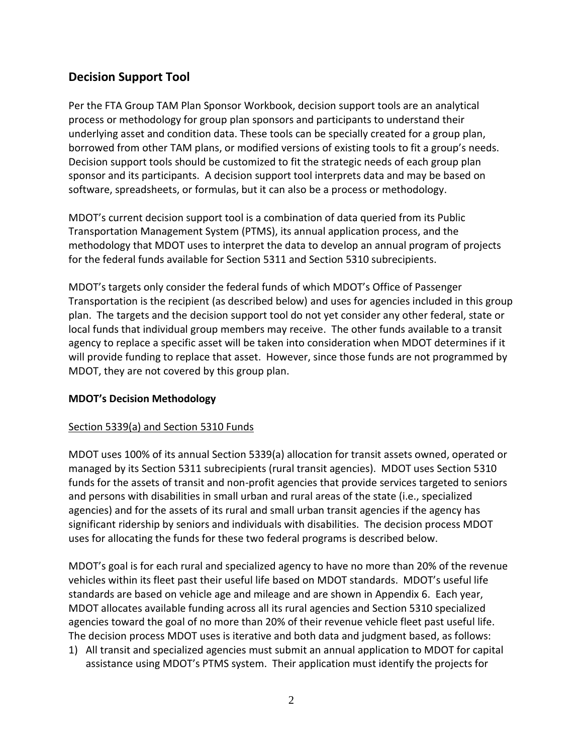# **Decision Support Tool**

Per the FTA Group TAM Plan Sponsor Workbook, decision support tools are an analytical process or methodology for group plan sponsors and participants to understand their underlying asset and condition data. These tools can be specially created for a group plan, borrowed from other TAM plans, or modified versions of existing tools to fit a group's needs. Decision support tools should be customized to fit the strategic needs of each group plan sponsor and its participants. A decision support tool interprets data and may be based on software, spreadsheets, or formulas, but it can also be a process or methodology.

MDOT's current decision support tool is a combination of data queried from its Public Transportation Management System (PTMS), its annual application process, and the methodology that MDOT uses to interpret the data to develop an annual program of projects for the federal funds available for Section 5311 and Section 5310 subrecipients.

MDOT's targets only consider the federal funds of which MDOT's Office of Passenger Transportation is the recipient (as described below) and uses for agencies included in this group plan. The targets and the decision support tool do not yet consider any other federal, state or local funds that individual group members may receive. The other funds available to a transit agency to replace a specific asset will be taken into consideration when MDOT determines if it will provide funding to replace that asset. However, since those funds are not programmed by MDOT, they are not covered by this group plan.

#### **MDOT's Decision Methodology**

### Section 5339(a) and Section 5310 Funds

MDOT uses 100% of its annual Section 5339(a) allocation for transit assets owned, operated or managed by its Section 5311 subrecipients (rural transit agencies). MDOT uses Section 5310 funds for the assets of transit and non-profit agencies that provide services targeted to seniors and persons with disabilities in small urban and rural areas of the state (i.e., specialized agencies) and for the assets of its rural and small urban transit agencies if the agency has significant ridership by seniors and individuals with disabilities. The decision process MDOT uses for allocating the funds for these two federal programs is described below.

MDOT's goal is for each rural and specialized agency to have no more than 20% of the revenue vehicles within its fleet past their useful life based on MDOT standards. MDOT's useful life standards are based on vehicle age and mileage and are shown in Appendix 6. Each year, MDOT allocates available funding across all its rural agencies and Section 5310 specialized agencies toward the goal of no more than 20% of their revenue vehicle fleet past useful life. The decision process MDOT uses is iterative and both data and judgment based, as follows:

1) All transit and specialized agencies must submit an annual application to MDOT for capital assistance using MDOT's PTMS system. Their application must identify the projects for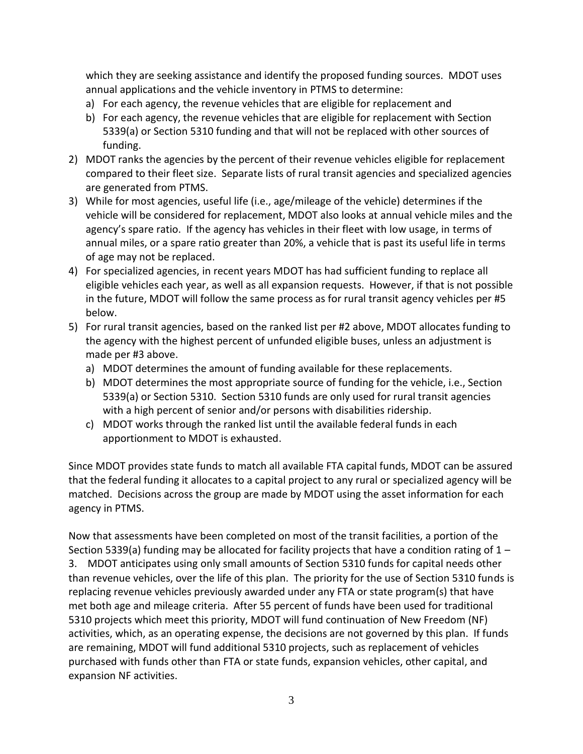which they are seeking assistance and identify the proposed funding sources. MDOT uses annual applications and the vehicle inventory in PTMS to determine:

- a) For each agency, the revenue vehicles that are eligible for replacement and
- b) For each agency, the revenue vehicles that are eligible for replacement with Section 5339(a) or Section 5310 funding and that will not be replaced with other sources of funding.
- 2) MDOT ranks the agencies by the percent of their revenue vehicles eligible for replacement compared to their fleet size. Separate lists of rural transit agencies and specialized agencies are generated from PTMS.
- 3) While for most agencies, useful life (i.e., age/mileage of the vehicle) determines if the vehicle will be considered for replacement, MDOT also looks at annual vehicle miles and the agency's spare ratio. If the agency has vehicles in their fleet with low usage, in terms of annual miles, or a spare ratio greater than 20%, a vehicle that is past its useful life in terms of age may not be replaced.
- 4) For specialized agencies, in recent years MDOT has had sufficient funding to replace all eligible vehicles each year, as well as all expansion requests. However, if that is not possible in the future, MDOT will follow the same process as for rural transit agency vehicles per #5 below.
- 5) For rural transit agencies, based on the ranked list per #2 above, MDOT allocates funding to the agency with the highest percent of unfunded eligible buses, unless an adjustment is made per #3 above.
	- a) MDOT determines the amount of funding available for these replacements.
	- b) MDOT determines the most appropriate source of funding for the vehicle, i.e., Section 5339(a) or Section 5310. Section 5310 funds are only used for rural transit agencies with a high percent of senior and/or persons with disabilities ridership.
	- c) MDOT works through the ranked list until the available federal funds in each apportionment to MDOT is exhausted.

Since MDOT provides state funds to match all available FTA capital funds, MDOT can be assured that the federal funding it allocates to a capital project to any rural or specialized agency will be matched. Decisions across the group are made by MDOT using the asset information for each agency in PTMS.

Now that assessments have been completed on most of the transit facilities, a portion of the Section 5339(a) funding may be allocated for facility projects that have a condition rating of 1 – 3. MDOT anticipates using only small amounts of Section 5310 funds for capital needs other than revenue vehicles, over the life of this plan. The priority for the use of Section 5310 funds is replacing revenue vehicles previously awarded under any FTA or state program(s) that have met both age and mileage criteria. After 55 percent of funds have been used for traditional 5310 projects which meet this priority, MDOT will fund continuation of New Freedom (NF) activities, which, as an operating expense, the decisions are not governed by this plan. If funds are remaining, MDOT will fund additional 5310 projects, such as replacement of vehicles purchased with funds other than FTA or state funds, expansion vehicles, other capital, and expansion NF activities.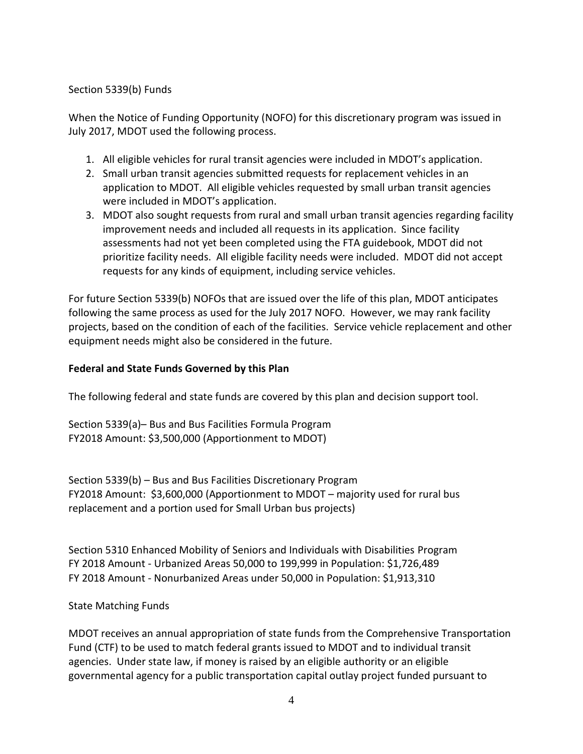#### Section 5339(b) Funds

When the Notice of Funding Opportunity (NOFO) for this discretionary program was issued in July 2017, MDOT used the following process.

- 1. All eligible vehicles for rural transit agencies were included in MDOT's application.
- 2. Small urban transit agencies submitted requests for replacement vehicles in an application to MDOT. All eligible vehicles requested by small urban transit agencies were included in MDOT's application.
- 3. MDOT also sought requests from rural and small urban transit agencies regarding facility improvement needs and included all requests in its application. Since facility assessments had not yet been completed using the FTA guidebook, MDOT did not prioritize facility needs. All eligible facility needs were included. MDOT did not accept requests for any kinds of equipment, including service vehicles.

For future Section 5339(b) NOFOs that are issued over the life of this plan, MDOT anticipates following the same process as used for the July 2017 NOFO. However, we may rank facility projects, based on the condition of each of the facilities. Service vehicle replacement and other equipment needs might also be considered in the future.

### **Federal and State Funds Governed by this Plan**

The following federal and state funds are covered by this plan and decision support tool.

Section 5339(a)– Bus and Bus Facilities Formula Program FY2018 Amount: \$3,500,000 (Apportionment to MDOT)

Section 5339(b) – Bus and Bus Facilities Discretionary Program FY2018 Amount: \$3,600,000 (Apportionment to MDOT – majority used for rural bus replacement and a portion used for Small Urban bus projects)

Section 5310 Enhanced Mobility of Seniors and Individuals with Disabilities Program FY 2018 Amount - Urbanized Areas 50,000 to 199,999 in Population: \$1,726,489 FY 2018 Amount - Nonurbanized Areas under 50,000 in Population: \$1,913,310

#### State Matching Funds

MDOT receives an annual appropriation of state funds from the Comprehensive Transportation Fund (CTF) to be used to match federal grants issued to MDOT and to individual transit agencies. Under state law, if money is raised by an eligible authority or an eligible governmental agency for a public transportation capital outlay project funded pursuant to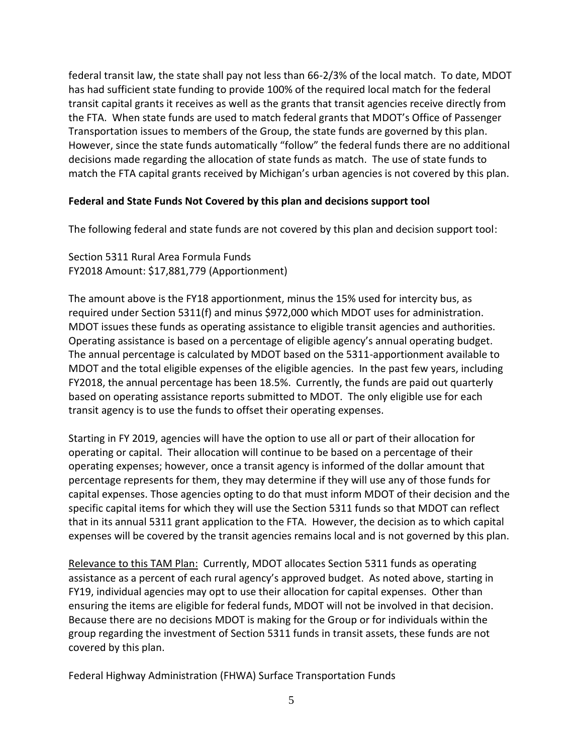federal transit law, the state shall pay not less than 66-2/3% of the local match. To date, MDOT has had sufficient state funding to provide 100% of the required local match for the federal transit capital grants it receives as well as the grants that transit agencies receive directly from the FTA. When state funds are used to match federal grants that MDOT's Office of Passenger Transportation issues to members of the Group, the state funds are governed by this plan. However, since the state funds automatically "follow" the federal funds there are no additional decisions made regarding the allocation of state funds as match. The use of state funds to match the FTA capital grants received by Michigan's urban agencies is not covered by this plan.

#### **Federal and State Funds Not Covered by this plan and decisions support tool**

The following federal and state funds are not covered by this plan and decision support tool:

Section 5311 Rural Area Formula Funds FY2018 Amount: \$17,881,779 (Apportionment)

The amount above is the FY18 apportionment, minus the 15% used for intercity bus, as required under Section 5311(f) and minus \$972,000 which MDOT uses for administration. MDOT issues these funds as operating assistance to eligible transit agencies and authorities. Operating assistance is based on a percentage of eligible agency's annual operating budget. The annual percentage is calculated by MDOT based on the 5311-apportionment available to MDOT and the total eligible expenses of the eligible agencies. In the past few years, including FY2018, the annual percentage has been 18.5%. Currently, the funds are paid out quarterly based on operating assistance reports submitted to MDOT. The only eligible use for each transit agency is to use the funds to offset their operating expenses.

Starting in FY 2019, agencies will have the option to use all or part of their allocation for operating or capital. Their allocation will continue to be based on a percentage of their operating expenses; however, once a transit agency is informed of the dollar amount that percentage represents for them, they may determine if they will use any of those funds for capital expenses. Those agencies opting to do that must inform MDOT of their decision and the specific capital items for which they will use the Section 5311 funds so that MDOT can reflect that in its annual 5311 grant application to the FTA. However, the decision as to which capital expenses will be covered by the transit agencies remains local and is not governed by this plan.

Relevance to this TAM Plan: Currently, MDOT allocates Section 5311 funds as operating assistance as a percent of each rural agency's approved budget. As noted above, starting in FY19, individual agencies may opt to use their allocation for capital expenses. Other than ensuring the items are eligible for federal funds, MDOT will not be involved in that decision. Because there are no decisions MDOT is making for the Group or for individuals within the group regarding the investment of Section 5311 funds in transit assets, these funds are not covered by this plan.

Federal Highway Administration (FHWA) Surface Transportation Funds